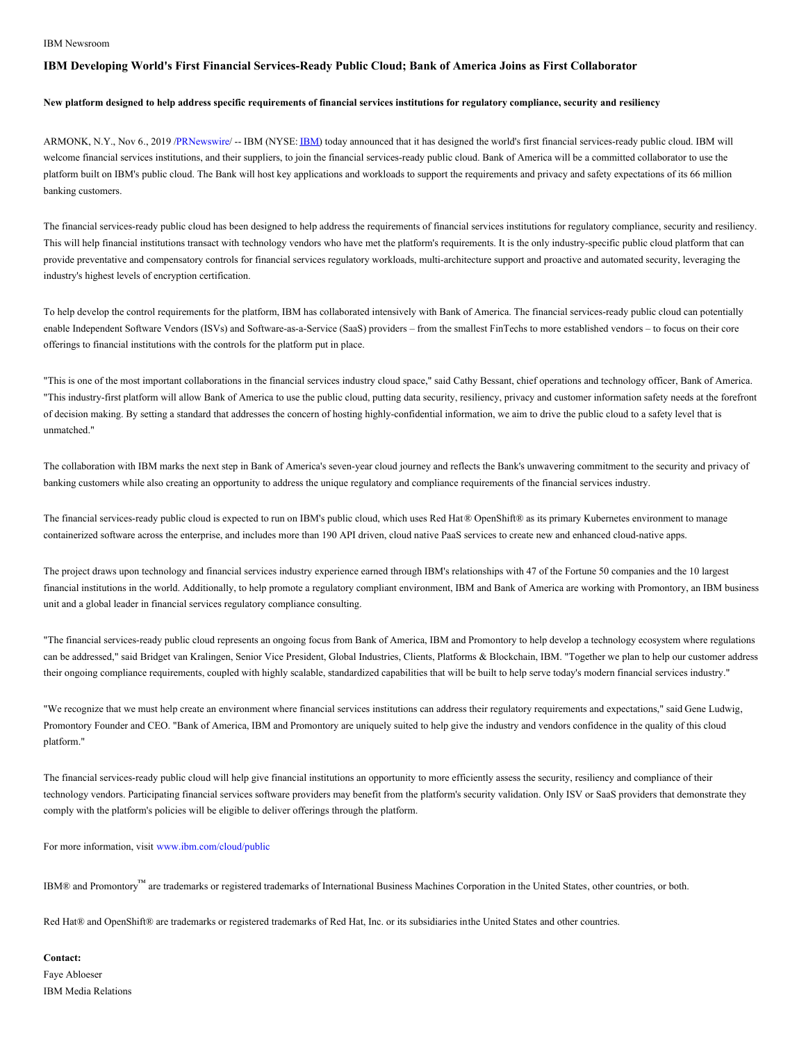### IBM Newsroom

## **IBM Developing World's First Financial Services-Ready Public Cloud; Bank of America Joins as First Collaborator**

#### New platform designed to help address specific requirements of financial services institutions for regulatory compliance, security and resiliency

ARMONK, N.Y., Nov 6., 2019 [/PRNewswire](http://www.prnewswire.com/)/ -- [IBM](https://c212.net/c/link/?t=0&l=en&o=2633674-1&h=1177698559&u=https%3A%2F%2Furldefense.proofpoint.com%2Fv2%2Furl%3Fu%3Dhttps-3A__c212.net_c_link_-3Ft-3D0-26l-3Den-26o-3D2349543-2D1-26h-3D3397382872-26u-3Dhttp-253A-252F-252Fwww.ibm.com-252Finvestor-26a-3DIBM%26d%3DDwMGaQ%26c%3DSFszdw3oxIkTvaP4xmzq_apLU3uL-3SxdAPNkldf__Q%26r%3DjwHBKv5KTXvzngQismoa9dkZDQY6sxSi0lMqtJnx75E%26m%3DsT0KZdT8ZgOHl-I-w7k_8Z_EmOYG_o9cuC-m89kbpsQ%26s%3DNREwwCfn7qsn_GZZt2DjK9qJHRjXhXpdMRvJIyNAtbQ%26e%3D&a=IBM) (NYSE: IBM) today announced that it has designed the world's first financial services-ready public cloud. IBM will welcome financial services institutions, and their suppliers, to join the financial services-ready public cloud. Bank of America will be a committed collaborator to use the platform built on IBM's public cloud. The Bank will host key applications and workloads to support the requirements and privacy and safety expectations of its 66 million banking customers.

The financial services-ready public cloud has been designed to help address the requirements of financial services institutions for regulatory compliance, security and resiliency. This will help financial institutions transact with technology vendors who have met the platform's requirements. It is the only industry-specific public cloud platform that can provide preventative and compensatory controls for financial services regulatory workloads, multi-architecture support and proactive and automated security, leveraging the industry's highest levels of encryption certification.

To help develop the control requirements for the platform, IBM has collaborated intensively with Bank of America. The financial services-ready public cloud can potentially enable Independent Software Vendors (ISVs) and Software-as-a-Service (SaaS) providers – from the smallest FinTechs to more established vendors – to focus on their core offerings to financial institutions with the controls for the platform put in place.

"This is one of the most important collaborations in the financial services industry cloud space," said Cathy Bessant, chief operations and technology officer, Bank of America. "This industry-first platform will allow Bank of America to use the public cloud, putting data security, resiliency, privacy and customer information safety needs at the forefront of decision making. By setting a standard that addresses the concern of hosting highly-confidential information, we aim to drive the public cloud to a safety level that is unmatched."

The collaboration with IBM marks the next step in Bank of America's seven-year cloud journey and reflects the Bank's unwavering commitment to the security and privacy of banking customers while also creating an opportunity to address the unique regulatory and compliance requirements of the financial services industry.

The financial services-ready public cloud is expected to run on IBM's public cloud, which uses Red Hat® OpenShift® as its primary Kubernetes environment to manage containerized software across the enterprise, and includes more than 190 API driven, cloud native PaaS services to create new and enhanced cloud-native apps.

The project draws upon technology and financial services industry experience earned through IBM's relationships with 47 of the Fortune 50 companies and the 10 largest financial institutions in the world. Additionally, to help promote a regulatory compliant environment, IBM and Bank of America are working with Promontory, an IBM business unit and a global leader in financial services regulatory compliance consulting.

"The financial services-ready public cloud represents an ongoing focus from Bank of America, IBM and Promontory to help develop a technology ecosystem where regulations can be addressed," said Bridget van Kralingen, Senior Vice President, Global Industries, Clients, Platforms & Blockchain, IBM. "Together we plan to help our customer address their ongoing compliance requirements, coupled with highly scalable, standardized capabilities that will be built to help serve today's modern financial services industry."

"We recognize that we must help create an environment where financial services institutions can address their regulatory requirements and expectations," said Gene Ludwig, Promontory Founder and CEO. "Bank of America, IBM and Promontory are uniquely suited to help give the industry and vendors confidence in the quality of this cloud platform."

The financial services-ready public cloud will help give financial institutions an opportunity to more efficiently assess the security, resiliency and compliance of their technology vendors. Participating financial services software providers may benefit from the platform's security validation. Only ISV or SaaS providers that demonstrate they comply with the platform's policies will be eligible to deliver offerings through the platform.

For more information, visit [www.ibm.com/cloud/public](https://c212.net/c/link/?t=0&l=en&o=2633674-1&h=228120701&u=http%3A%2F%2Fwww.ibm.com%2Fcloud%2Fpublic&a=www.ibm.com%2Fcloud%2Fpublic)

IBM® and Promontory™ are trademarks or registered trademarks of International Business Machines Corporation in the United States, other countries, or both.

Red Hat® and OpenShift® are trademarks or registered trademarks of Red Hat, Inc. or its subsidiaries inthe United States and other countries.

#### **Contact:**

Faye Abloeser IBM Media Relations